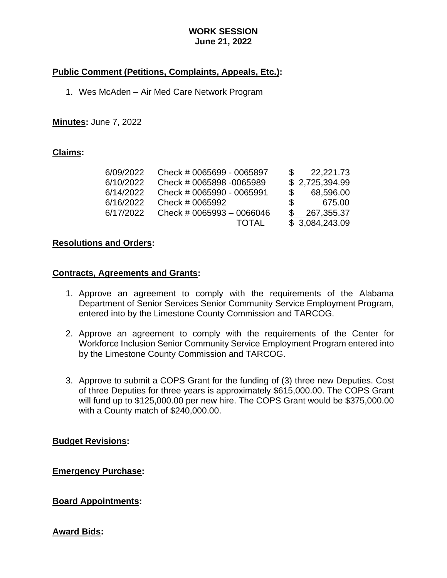### **WORK SESSION June 21, 2022**

# **Public Comment (Petitions, Complaints, Appeals, Etc.):**

1. Wes McAden – Air Med Care Network Program

### **Minutes:** June 7, 2022

#### **Claims:**

| 6/09/2022 | Check # 0065699 - 0065897 |    | 22,221.73      |
|-----------|---------------------------|----|----------------|
| 6/10/2022 | Check # 0065898 -0065989  |    | \$2,725,394.99 |
| 6/14/2022 | Check # 0065990 - 0065991 |    | 68,596.00      |
| 6/16/2022 | Check # 0065992           | S. | 675.00         |
| 6/17/2022 | Check # 0065993 - 0066046 |    | 267,355.37     |
|           | TOTAL                     |    | \$3,084,243.09 |

### **Resolutions and Orders:**

#### **Contracts, Agreements and Grants:**

- 1. Approve an agreement to comply with the requirements of the Alabama Department of Senior Services Senior Community Service Employment Program, entered into by the Limestone County Commission and TARCOG.
- 2. Approve an agreement to comply with the requirements of the Center for Workforce Inclusion Senior Community Service Employment Program entered into by the Limestone County Commission and TARCOG.
- 3. Approve to submit a COPS Grant for the funding of (3) three new Deputies. Cost of three Deputies for three years is approximately \$615,000.00. The COPS Grant will fund up to \$125,000.00 per new hire. The COPS Grant would be \$375,000.00 with a County match of \$240,000.00.

#### **Budget Revisions:**

**Emergency Purchase:**

**Board Appointments:**

## **Award Bids:**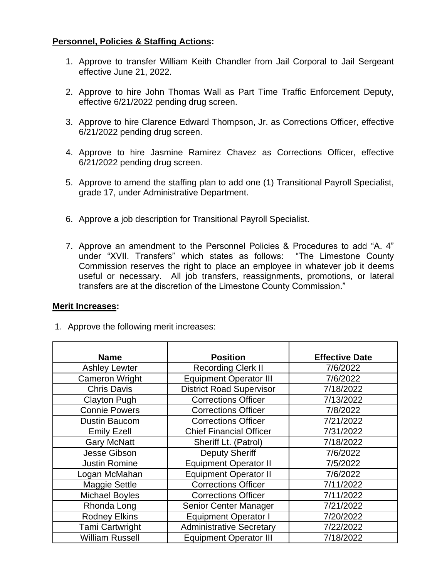# **Personnel, Policies & Staffing Actions:**

- 1. Approve to transfer William Keith Chandler from Jail Corporal to Jail Sergeant effective June 21, 2022.
- 2. Approve to hire John Thomas Wall as Part Time Traffic Enforcement Deputy, effective 6/21/2022 pending drug screen.
- 3. Approve to hire Clarence Edward Thompson, Jr. as Corrections Officer, effective 6/21/2022 pending drug screen.
- 4. Approve to hire Jasmine Ramirez Chavez as Corrections Officer, effective 6/21/2022 pending drug screen.
- 5. Approve to amend the staffing plan to add one (1) Transitional Payroll Specialist, grade 17, under Administrative Department.
- 6. Approve a job description for Transitional Payroll Specialist.
- 7. Approve an amendment to the Personnel Policies & Procedures to add "A. 4" under "XVII. Transfers" which states as follows: "The Limestone County Commission reserves the right to place an employee in whatever job it deems useful or necessary. All job transfers, reassignments, promotions, or lateral transfers are at the discretion of the Limestone County Commission."

## **Merit Increases:**

1. Approve the following merit increases:

| <b>Name</b>            | <b>Position</b>                 | <b>Effective Date</b> |
|------------------------|---------------------------------|-----------------------|
| <b>Ashley Lewter</b>   | <b>Recording Clerk II</b>       | 7/6/2022              |
| <b>Cameron Wright</b>  | <b>Equipment Operator III</b>   | 7/6/2022              |
| <b>Chris Davis</b>     | <b>District Road Supervisor</b> | 7/18/2022             |
| <b>Clayton Pugh</b>    | <b>Corrections Officer</b>      | 7/13/2022             |
| <b>Connie Powers</b>   | <b>Corrections Officer</b>      | 7/8/2022              |
| <b>Dustin Baucom</b>   | <b>Corrections Officer</b>      | 7/21/2022             |
| <b>Emily Ezell</b>     | <b>Chief Financial Officer</b>  | 7/31/2022             |
| <b>Gary McNatt</b>     | Sheriff Lt. (Patrol)            | 7/18/2022             |
| Jesse Gibson           | <b>Deputy Sheriff</b>           | 7/6/2022              |
| <b>Justin Romine</b>   | <b>Equipment Operator II</b>    | 7/5/2022              |
| Logan McMahan          | <b>Equipment Operator II</b>    | 7/6/2022              |
| <b>Maggie Settle</b>   | <b>Corrections Officer</b>      | 7/11/2022             |
| <b>Michael Boyles</b>  | <b>Corrections Officer</b>      | 7/11/2022             |
| Rhonda Long            | <b>Senior Center Manager</b>    | 7/21/2022             |
| <b>Rodney Elkins</b>   | <b>Equipment Operator I</b>     | 7/20/2022             |
| <b>Tami Cartwright</b> | <b>Administrative Secretary</b> | 7/22/2022             |
| <b>William Russell</b> | <b>Equipment Operator III</b>   | 7/18/2022             |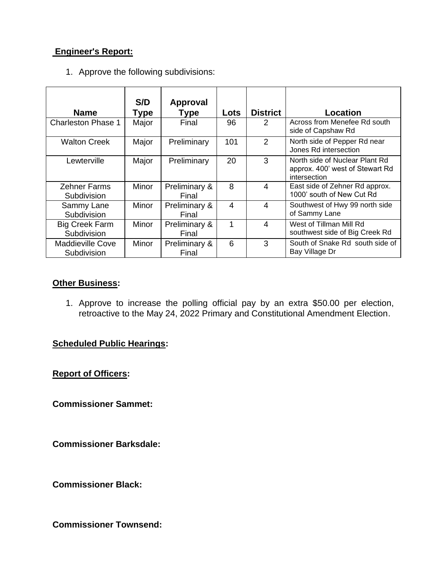# **Engineer's Report:**

1. Approve the following subdivisions:

| <b>Name</b>                            | S/D<br>Type | Approval<br>Type       | Lots | <b>District</b> | Location                                                                          |
|----------------------------------------|-------------|------------------------|------|-----------------|-----------------------------------------------------------------------------------|
| <b>Charleston Phase 1</b>              | Major       | Final                  | 96   | 2               | Across from Menefee Rd south<br>side of Capshaw Rd                                |
| <b>Walton Creek</b>                    | Major       | Preliminary            | 101  | 2               | North side of Pepper Rd near<br>Jones Rd intersection                             |
| Lewterville                            | Major       | Preliminary            | 20   | 3               | North side of Nuclear Plant Rd<br>approx. 400' west of Stewart Rd<br>intersection |
| <b>Zehner Farms</b><br>Subdivision     | Minor       | Preliminary &<br>Final | 8    | $\overline{4}$  | East side of Zehner Rd approx.<br>1000' south of New Cut Rd                       |
| Sammy Lane<br>Subdivision              | Minor       | Preliminary &<br>Final | 4    | 4               | Southwest of Hwy 99 north side<br>of Sammy Lane                                   |
| <b>Big Creek Farm</b><br>Subdivision   | Minor       | Preliminary &<br>Final | 1    | $\overline{4}$  | West of Tillman Mill Rd<br>southwest side of Big Creek Rd                         |
| <b>Maddieville Cove</b><br>Subdivision | Minor       | Preliminary &<br>Final | 6    | 3               | South of Snake Rd south side of<br>Bay Village Dr                                 |

### **Other Business:**

1. Approve to increase the polling official pay by an extra \$50.00 per election, retroactive to the May 24, 2022 Primary and Constitutional Amendment Election.

# **Scheduled Public Hearings:**

**Report of Officers:**

**Commissioner Sammet:**

**Commissioner Barksdale:**

**Commissioner Black:**

**Commissioner Townsend:**